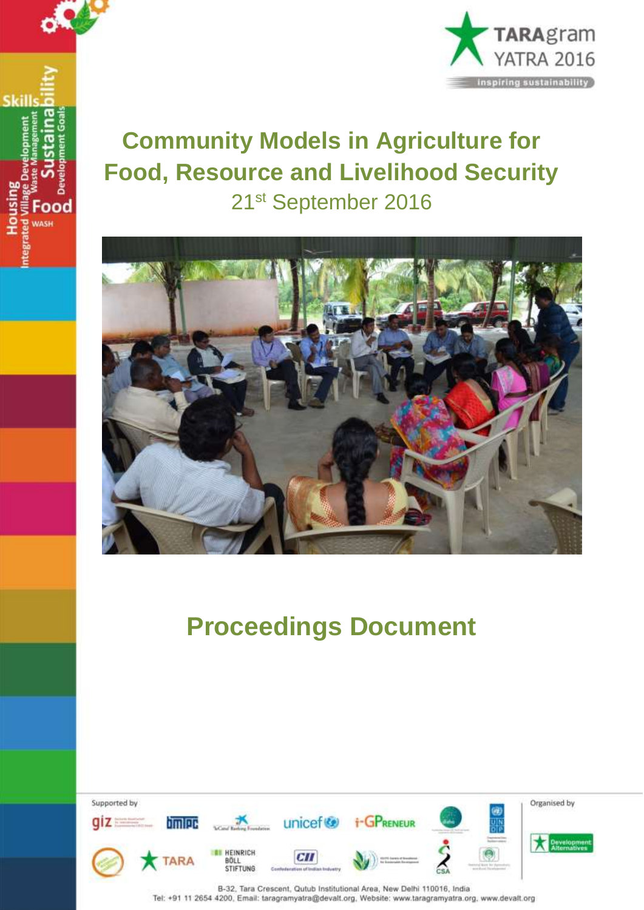



# **Community Models in Agriculture for Food, Resource and Livelihood Security** 21st September 2016



# **Proceedings Document**

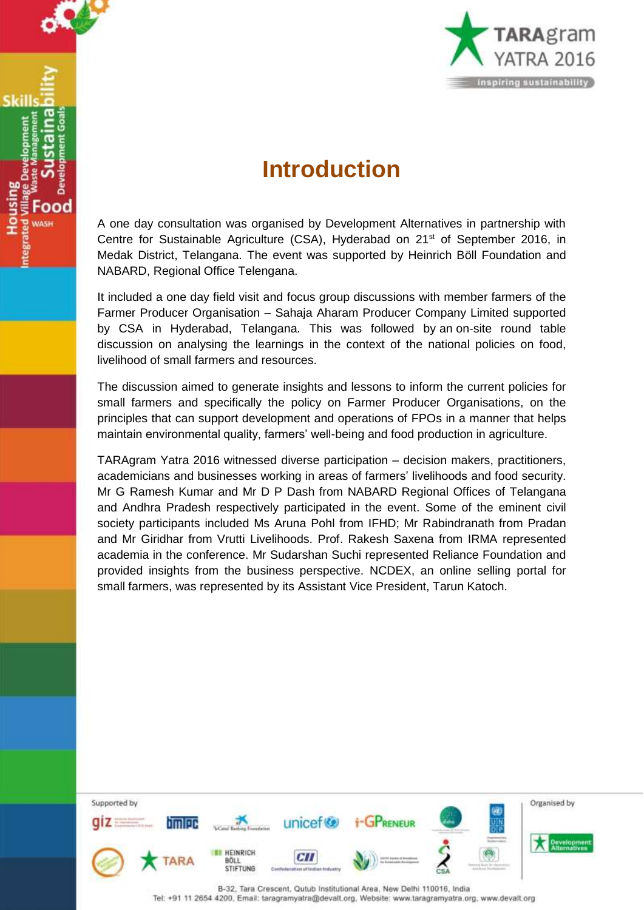

## **Introduction**

A one day consultation was organised by Development Alternatives in partnership with Centre for Sustainable Agriculture (CSA), Hyderabad on 21<sup>st</sup> of September 2016, in Medak District, Telangana. The event was supported by Heinrich Böll Foundation and NABARD, Regional Office Telengana.

It included a one day field visit and focus group discussions with member farmers of the Farmer Producer Organisation – Sahaja Aharam Producer Company Limited supported by CSA in Hyderabad, Telangana. This was followed by an on-site round table discussion on analysing the learnings in the context of the national policies on food, livelihood of small farmers and resources.

The discussion aimed to generate insights and lessons to inform the current policies for small farmers and specifically the policy on Farmer Producer Organisations, on the principles that can support development and operations of FPOs in a manner that helps maintain environmental quality, farmers' well-being and food production in agriculture.

TARAgram Yatra 2016 witnessed diverse participation – decision makers, practitioners, academicians and businesses working in areas of farmers' livelihoods and food security. Mr G Ramesh Kumar and Mr D P Dash from NABARD Regional Offices of Telangana and Andhra Pradesh respectively participated in the event. Some of the eminent civil society participants included Ms Aruna Pohl from IFHD; Mr Rabindranath from Pradan and Mr Giridhar from Vrutti Livelihoods. Prof. Rakesh Saxena from IRMA represented academia in the conference. Mr Sudarshan Suchi represented Reliance Foundation and provided insights from the business perspective. NCDEX, an online selling portal for small farmers, was represented by its Assistant Vice President, Tarun Katoch.

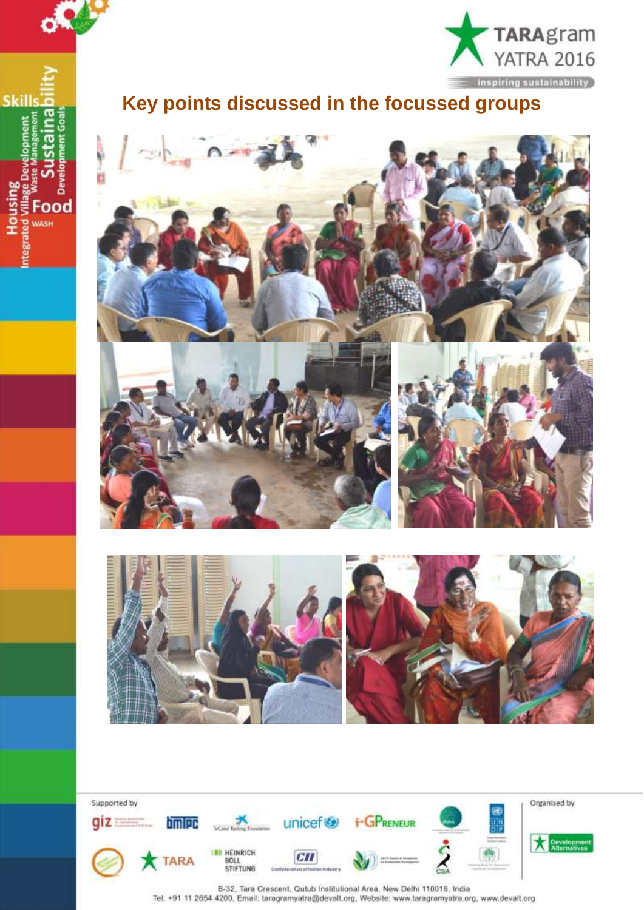

**Housing**<br>ated Village D

ēņ

å Food **WASH** 



### **Key points discussed in the focussed groups**





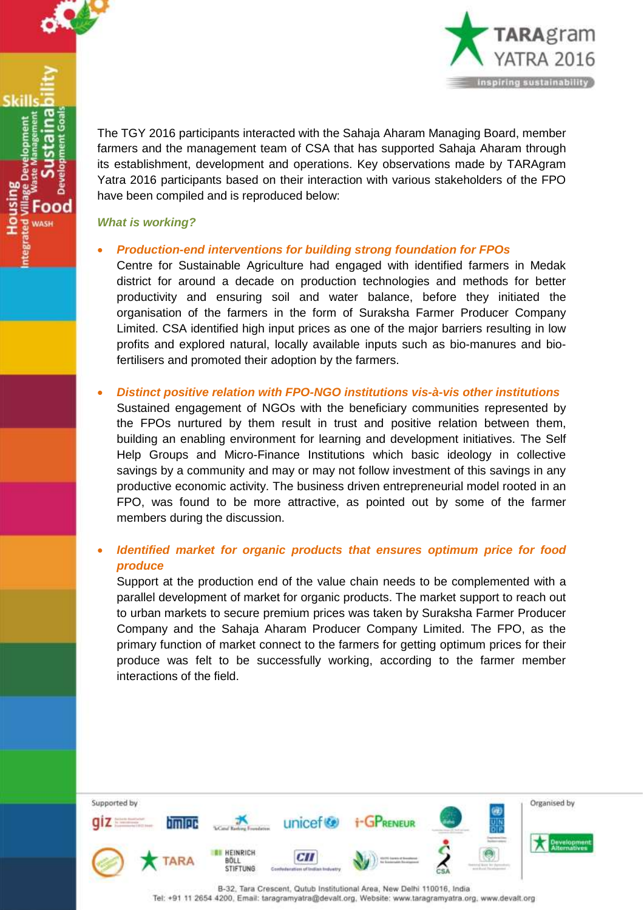

ood



The TGY 2016 participants interacted with the Sahaja Aharam Managing Board, member farmers and the management team of CSA that has supported Sahaja Aharam through its establishment, development and operations. Key observations made by TARAgram Yatra 2016 participants based on their interaction with various stakeholders of the FPO have been compiled and is reproduced below:

### *What is working?*

### *Production-end interventions for building strong foundation for FPOs*

Centre for Sustainable Agriculture had engaged with identified farmers in Medak district for around a decade on production technologies and methods for better productivity and ensuring soil and water balance, before they initiated the organisation of the farmers in the form of Suraksha Farmer Producer Company Limited. CSA identified high input prices as one of the major barriers resulting in low profits and explored natural, locally available inputs such as bio-manures and biofertilisers and promoted their adoption by the farmers.

### *Distinct positive relation with FPO-NGO institutions vis-à-vis other institutions*

Sustained engagement of NGOs with the beneficiary communities represented by the FPOs nurtured by them result in trust and positive relation between them, building an enabling environment for learning and development initiatives. The Self Help Groups and Micro-Finance Institutions which basic ideology in collective savings by a community and may or may not follow investment of this savings in any productive economic activity. The business driven entrepreneurial model rooted in an FPO, was found to be more attractive, as pointed out by some of the farmer members during the discussion.

### *Identified market for organic products that ensures optimum price for food produce*

Support at the production end of the value chain needs to be complemented with a parallel development of market for organic products. The market support to reach out to urban markets to secure premium prices was taken by Suraksha Farmer Producer Company and the Sahaja Aharam Producer Company Limited. The FPO, as the primary function of market connect to the farmers for getting optimum prices for their produce was felt to be successfully working, according to the farmer member interactions of the field.

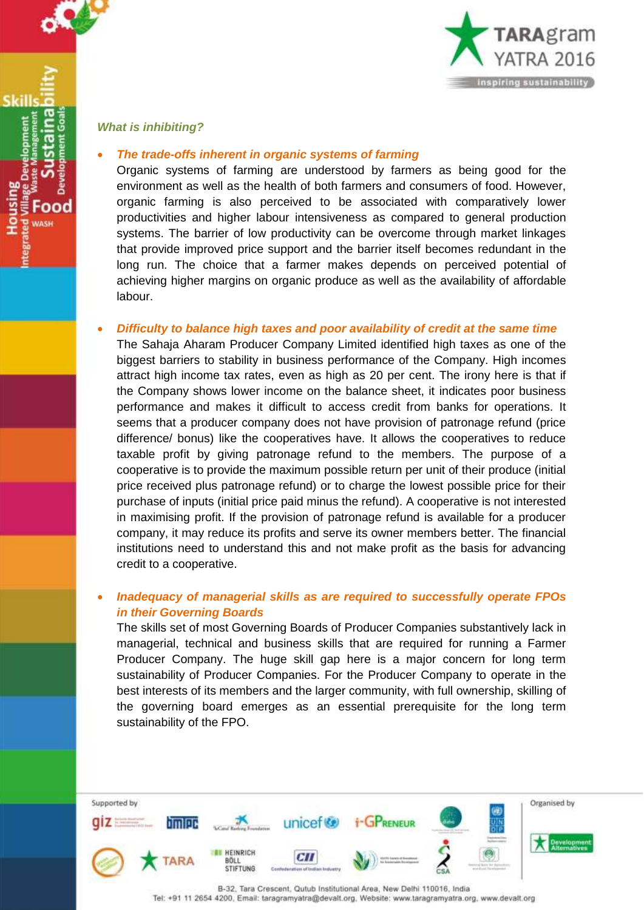

ood



*What is inhibiting?*

### *The trade-offs inherent in organic systems of farming*

Organic systems of farming are understood by farmers as being good for the environment as well as the health of both farmers and consumers of food. However, organic farming is also perceived to be associated with comparatively lower productivities and higher labour intensiveness as compared to general production systems. The barrier of low productivity can be overcome through market linkages that provide improved price support and the barrier itself becomes redundant in the long run. The choice that a farmer makes depends on perceived potential of achieving higher margins on organic produce as well as the availability of affordable labour.

### *Difficulty to balance high taxes and poor availability of credit at the same time*

The Sahaja Aharam Producer Company Limited identified high taxes as one of the biggest barriers to stability in business performance of the Company. High incomes attract high income tax rates, even as high as 20 per cent. The irony here is that if the Company shows lower income on the balance sheet, it indicates poor business performance and makes it difficult to access credit from banks for operations. It seems that a producer company does not have provision of patronage refund (price difference/ bonus) like the cooperatives have. It allows the cooperatives to reduce taxable profit by giving patronage refund to the members. The purpose of a cooperative is to provide the maximum possible return per unit of their produce (initial price received plus patronage refund) or to charge the lowest possible price for their purchase of inputs (initial price paid minus the refund). A cooperative is not interested in maximising profit. If the provision of patronage refund is available for a producer company, it may reduce its profits and serve its owner members better. The financial institutions need to understand this and not make profit as the basis for advancing credit to a cooperative.

### *Inadequacy of managerial skills as are required to successfully operate FPOs in their Governing Boards*

The skills set of most Governing Boards of Producer Companies substantively lack in managerial, technical and business skills that are required for running a Farmer Producer Company. The huge skill gap here is a major concern for long term sustainability of Producer Companies. For the Producer Company to operate in the best interests of its members and the larger community, with full ownership, skilling of the governing board emerges as an essential prerequisite for the long term sustainability of the FPO.

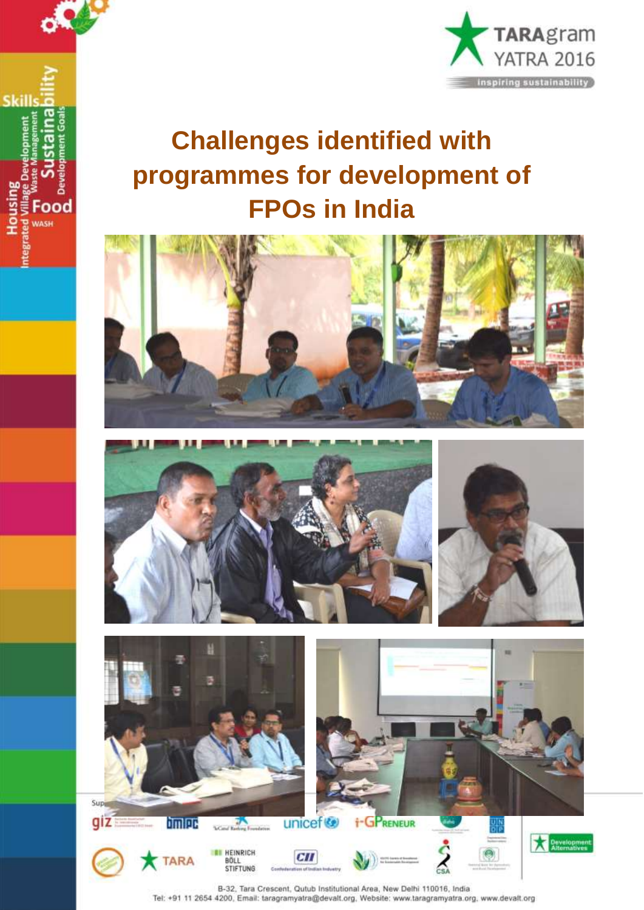

**Housing** 

Food WASH



# **Challenges identified with programmes for development of FPOs in India**







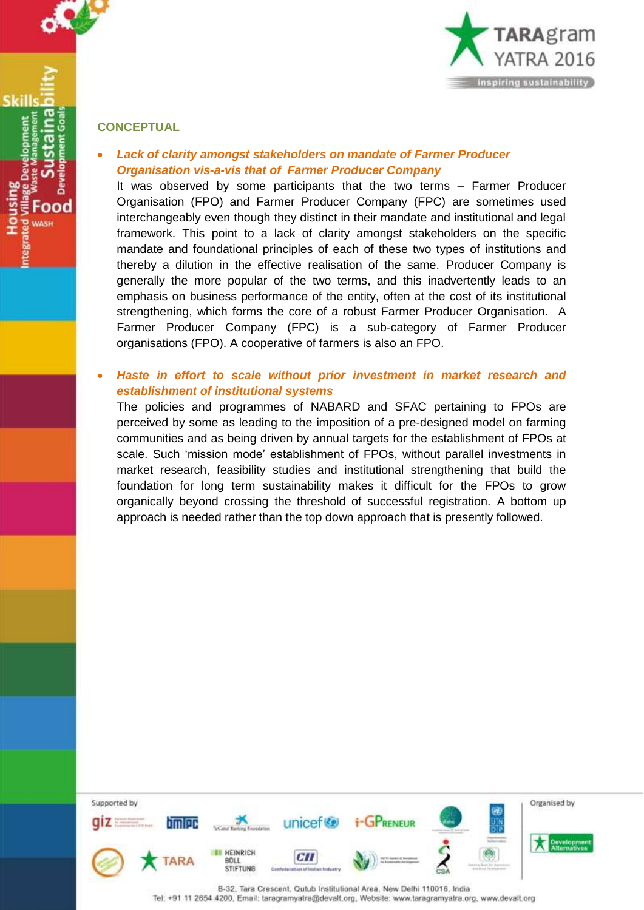

### **CONCEPTUAL**

 *Lack of clarity amongst stakeholders on mandate of Farmer Producer Organisation vis-a-vis that of Farmer Producer Company*

It was observed by some participants that the two terms – Farmer Producer Organisation (FPO) and Farmer Producer Company (FPC) are sometimes used interchangeably even though they distinct in their mandate and institutional and legal framework. This point to a lack of clarity amongst stakeholders on the specific mandate and foundational principles of each of these two types of institutions and thereby a dilution in the effective realisation of the same. Producer Company is generally the more popular of the two terms, and this inadvertently leads to an emphasis on business performance of the entity, often at the cost of its institutional strengthening, which forms the core of a robust Farmer Producer Organisation. A Farmer Producer Company (FPC) is a sub-category of Farmer Producer organisations (FPO). A cooperative of farmers is also an FPO.

### *Haste in effort to scale without prior investment in market research and establishment of institutional systems*

The policies and programmes of NABARD and SFAC pertaining to FPOs are perceived by some as leading to the imposition of a pre-designed model on farming communities and as being driven by annual targets for the establishment of FPOs at scale. Such 'mission mode' establishment of FPOs, without parallel investments in market research, feasibility studies and institutional strengthening that build the foundation for long term sustainability makes it difficult for the FPOs to grow organically beyond crossing the threshold of successful registration. A bottom up approach is needed rather than the top down approach that is presently followed.

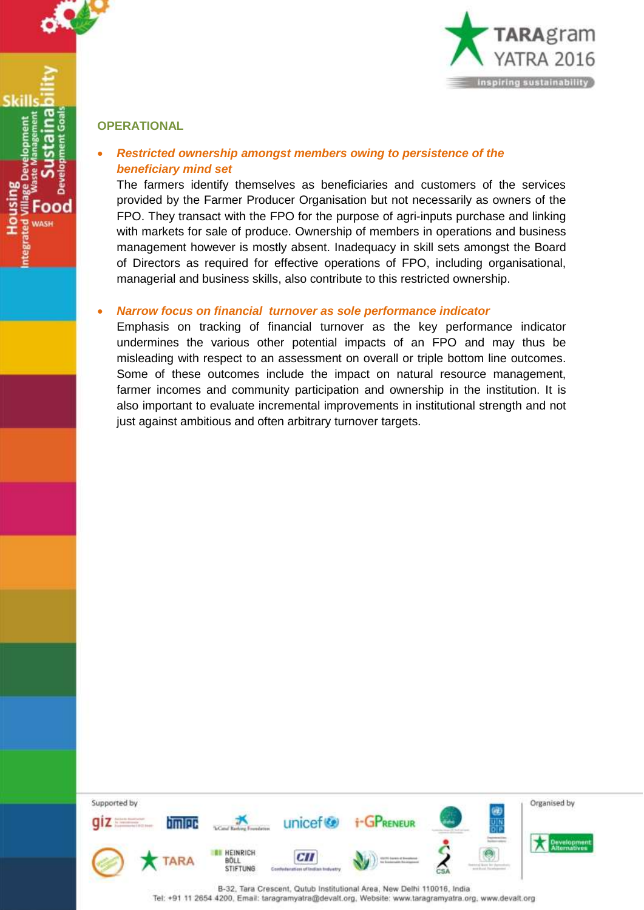

**OPERATIONAL** 

Skill

ood

### *Restricted ownership amongst members owing to persistence of the beneficiary mind set*

The farmers identify themselves as beneficiaries and customers of the services provided by the Farmer Producer Organisation but not necessarily as owners of the FPO. They transact with the FPO for the purpose of agri-inputs purchase and linking with markets for sale of produce. Ownership of members in operations and business management however is mostly absent. Inadequacy in skill sets amongst the Board of Directors as required for effective operations of FPO, including organisational, managerial and business skills, also contribute to this restricted ownership.

### *Narrow focus on financial turnover as sole performance indicator*

Emphasis on tracking of financial turnover as the key performance indicator undermines the various other potential impacts of an FPO and may thus be misleading with respect to an assessment on overall or triple bottom line outcomes. Some of these outcomes include the impact on natural resource management, farmer incomes and community participation and ownership in the institution. It is also important to evaluate incremental improvements in institutional strength and not just against ambitious and often arbitrary turnover targets.

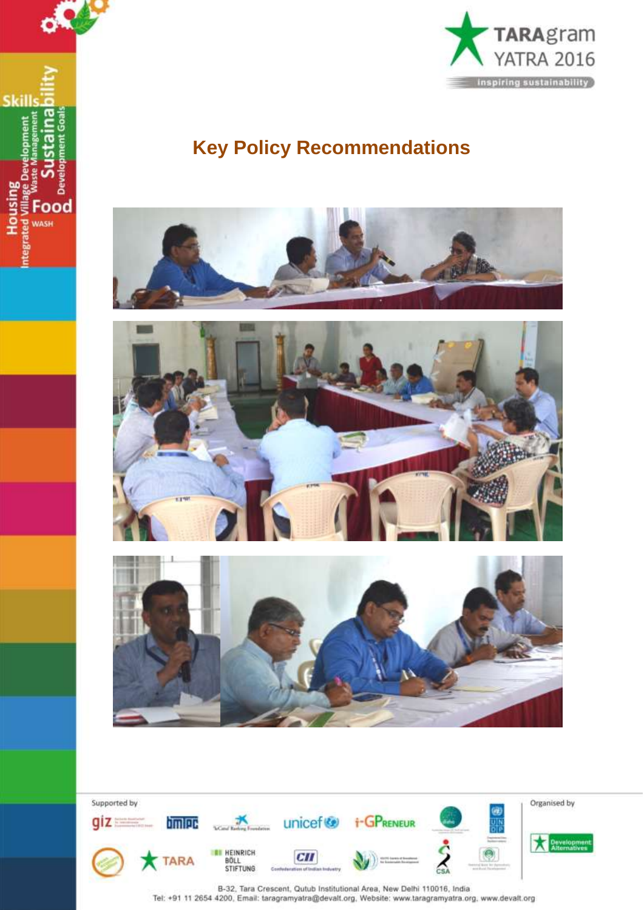



## **Key Policy Recommendations**







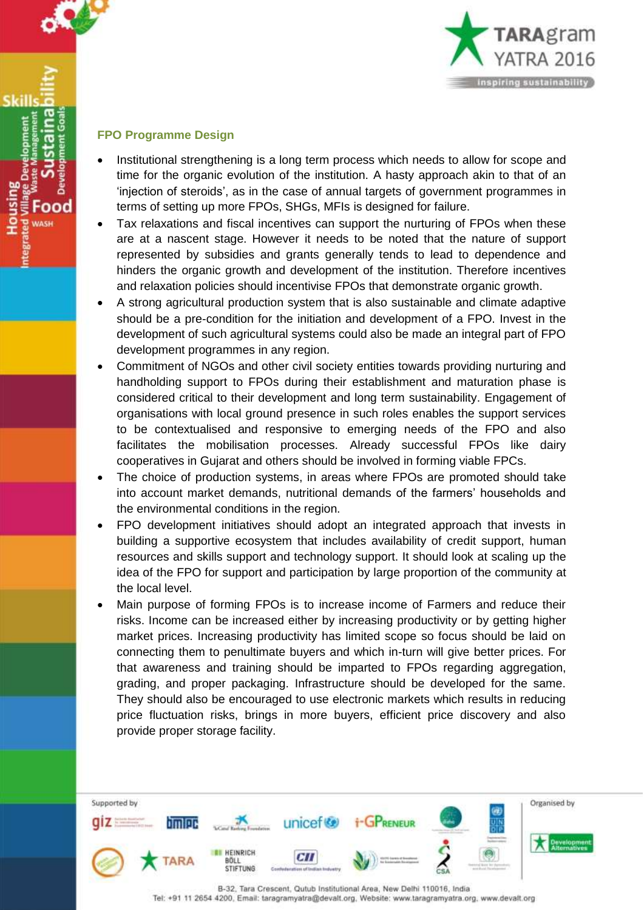

ood **MASH** 



### **FPO Programme Design**

- Institutional strengthening is a long term process which needs to allow for scope and time for the organic evolution of the institution. A hasty approach akin to that of an 'injection of steroids', as in the case of annual targets of government programmes in terms of setting up more FPOs, SHGs, MFIs is designed for failure.
- Tax relaxations and fiscal incentives can support the nurturing of FPOs when these are at a nascent stage. However it needs to be noted that the nature of support represented by subsidies and grants generally tends to lead to dependence and hinders the organic growth and development of the institution. Therefore incentives and relaxation policies should incentivise FPOs that demonstrate organic growth.
- A strong agricultural production system that is also sustainable and climate adaptive should be a pre-condition for the initiation and development of a FPO. Invest in the development of such agricultural systems could also be made an integral part of FPO development programmes in any region.
- Commitment of NGOs and other civil society entities towards providing nurturing and handholding support to FPOs during their establishment and maturation phase is considered critical to their development and long term sustainability. Engagement of organisations with local ground presence in such roles enables the support services to be contextualised and responsive to emerging needs of the FPO and also facilitates the mobilisation processes. Already successful FPOs like dairy cooperatives in Gujarat and others should be involved in forming viable FPCs.
- The choice of production systems, in areas where FPOs are promoted should take into account market demands, nutritional demands of the farmers' households and the environmental conditions in the region.
- FPO development initiatives should adopt an integrated approach that invests in building a supportive ecosystem that includes availability of credit support, human resources and skills support and technology support. It should look at scaling up the idea of the FPO for support and participation by large proportion of the community at the local level.
- Main purpose of forming FPOs is to increase income of Farmers and reduce their risks. Income can be increased either by increasing productivity or by getting higher market prices. Increasing productivity has limited scope so focus should be laid on connecting them to penultimate buyers and which in-turn will give better prices. For that awareness and training should be imparted to FPOs regarding aggregation, grading, and proper packaging. Infrastructure should be developed for the same. They should also be encouraged to use electronic markets which results in reducing price fluctuation risks, brings in more buyers, efficient price discovery and also provide proper storage facility.

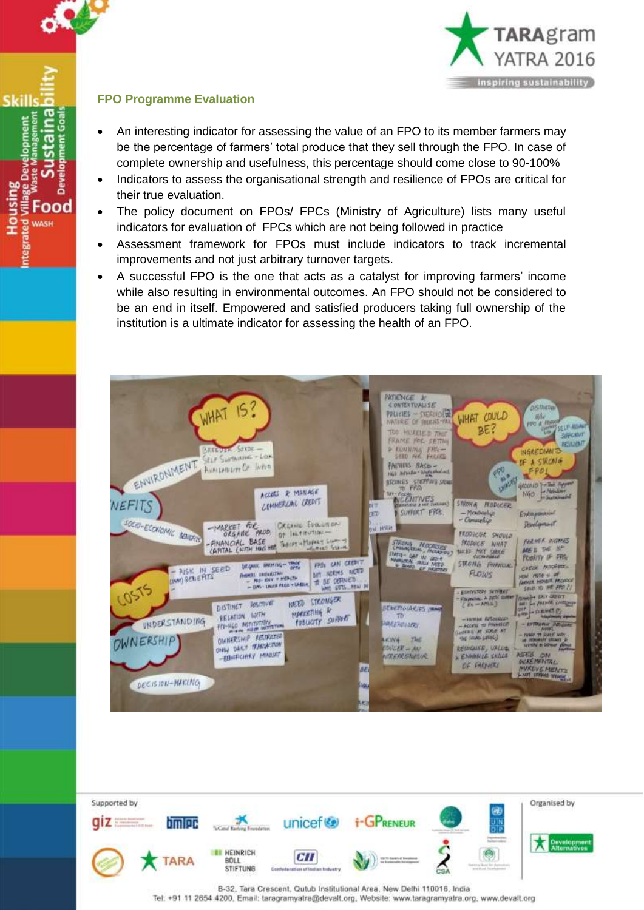

Housing<br>ted Village Develo<br>and Village Develo<br>and Waste Man<br>and Construction

ma ŝ

Develor

Food **WASH** 



### **FPO Programme Evaluation**

- An interesting indicator for assessing the value of an FPO to its member farmers may be the percentage of farmers' total produce that they sell through the FPO. In case of complete ownership and usefulness, this percentage should come close to 90-100%
- Indicators to assess the organisational strength and resilience of FPOs are critical for their true evaluation.
- The policy document on FPOs/ FPCs (Ministry of Agriculture) lists many useful indicators for evaluation of FPCs which are not being followed in practice
- Assessment framework for FPOs must include indicators to track incremental improvements and not just arbitrary turnover targets.
- A successful FPO is the one that acts as a catalyst for improving farmers' income while also resulting in environmental outcomes. An FPO should not be considered to be an end in itself. Empowered and satisfied producers taking full ownership of the institution is a ultimate indicator for assessing the health of an FPO.



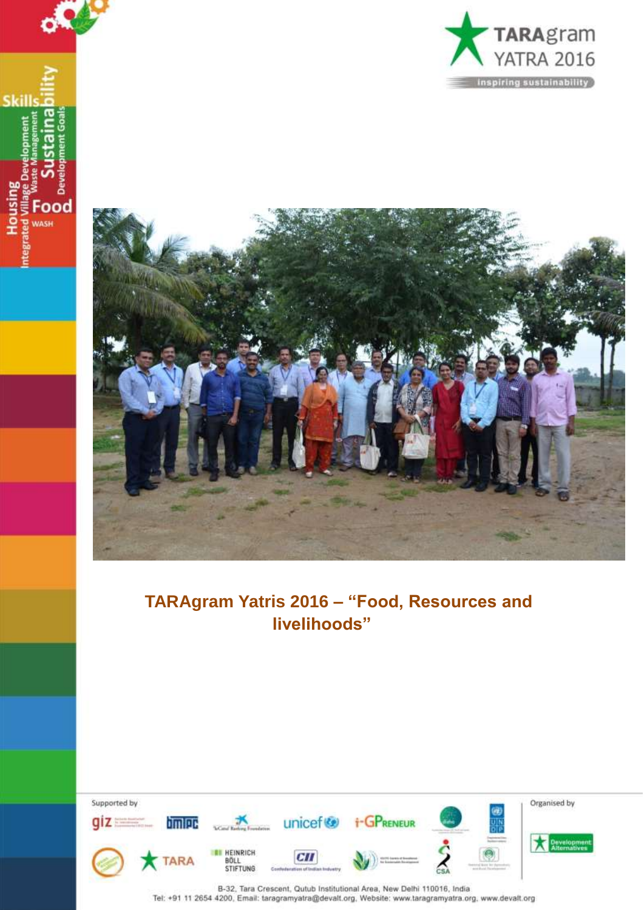



o٣

**Skills** 

**Housing** 

WASH

### **TARAgram Yatris 2016 – "Food, Resources and livelihoods"**